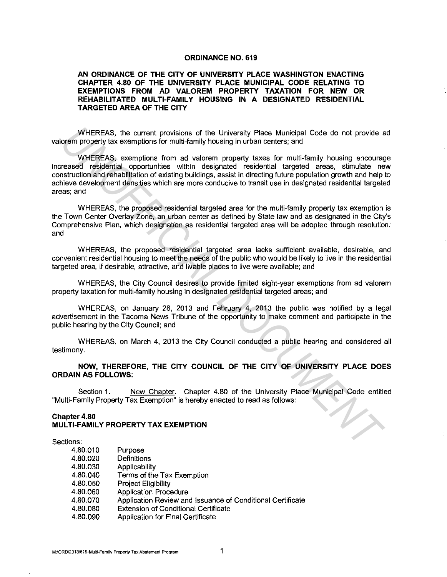### **ORDINANCE NO. 619**

## **AN ORDINANCE OF THE CITY OF UNIVERSITY PLACE WASHINGTON ENACTING CHAPTER 4.80 OF THE UNIVERSITY PLACE MUNICIPAL CODE RELATING TO EXEMPTIONS FROM AD VALOREM PROPERTY TAXATION FOR NEW OR REHABILITATED MULTI-FAMILY HOUSING IN A DESIGNATED RESIDENTIAL TARGETED AREA OF THE CITY**

WHEREAS, the current provisions of the University Place Municipal Code do not provide ad valorem property tax exemptions for multi-family housing in urban centers; and

WHEREAS, exemptions from ad valorem property taxes for multi-family housing encourage increased residential opportunities within designated residential targeted areas, stimulate new construction and rehabilitation of existing buildings, assist in directing future population growth and help to achieve development densities which are more conducive to transit use in designated residential targeted areas; and WHEREAS, the current provisions of the University Place Municipal Code do not provide a<br> **WHEREAS, exemptions for multi-family housing in urban centers; and<br>
WHEREAS, exemptions from ad valorem property taxes for multi-fam** 

WHEREAS, the proposed residential targeted area for the multi-family property tax exemption is the Town Center Overlay Zone, an urban center as defined by State law and as designated in the City's Comprehensive Plan, which designation as residential targeted area will be adopted through resolution; and

WHEREAS, the proposed residential targeted area lacks sufficient available, desirable, and convenient residential housing to meet the needs of the public who would be likely to live in the residential targeted area, if desirable, attractive, and livable places to live were available; and

WHEREAS, the City Council desires to provide limited eight-year exemptions from ad valorem property taxation for multi-family housing in designated residential targeted areas; and

WHEREAS, on January 28, 2013 and February 4, 2013 the public was notified by a legal advertisement in the Tacoma News Tribune of the opportunity to make comment and participate in the public hearing by the City Council; and

WHEREAS, on March 4, 2013 the City Council conducted a public hearing and considered all testimony.

**NOW, THEREFORE, THE CITY COUNCIL OF THE CITY OF UNIVERSITY PLACE DOES ORDAIN AS FOLLOWS:** 

Section 1. New Chapter. Chapter 4.80 of the University Place Municipal Code entitled "Multi-Family Property Tax Exemption" is hereby enacted to read as follows:

## **Chapter 4.80 MULTI-FAMILY PROPERTY TAX EXEMPTION**

Sections:

| 4.80.010 | Purpose                                                    |
|----------|------------------------------------------------------------|
| 4.80.020 | Definitions                                                |
| 4.80.030 | Applicability                                              |
| 4.80.040 | Terms of the Tax Exemption                                 |
| 4.80.050 | <b>Project Eligibility</b>                                 |
| 4.80.060 | <b>Application Procedure</b>                               |
| 4.80.070 | Application Review and Issuance of Conditional Certificate |
| 4.80.080 | <b>Extension of Conditional Certificate</b>                |
| 4.80.090 | <b>Application for Final Certificate</b>                   |
|          |                                                            |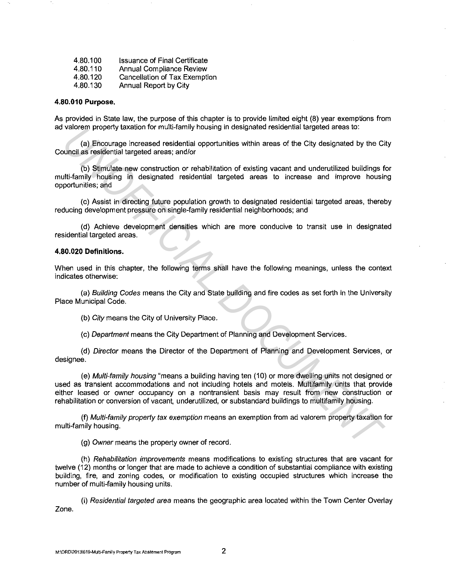| 4.80.100 | <b>Issuance of Final Certificate</b> |
|----------|--------------------------------------|
| 4,80.110 | Annual Compliance Review             |
| 4.80.120 | Cancellation of Tax Exemption        |
| 4.80.130 | Annual Report by City                |

### **4.80.010 Purpose.**

As provided in State law, the purpose of this chapter is to provide limited eight (8) year exemptions from ad valorem property taxation for multi-family housing in designated residential targeted areas to:

(a) Encourage increased residential opportunities within areas of the City designated by the City Council as residential targeted areas; and/or

(b) Stimulate new construction or rehabilitation of existing vacant and underutilized buildings for multi-family housing in designated residential targeted areas to increase and improve housing opportunities; and

(c) Assist in directing future population growth to designated residential targeted areas, thereby reducing development pressure on single-family residential neighborhoods; and

( d) Achieve development densities which are more conducive to transit use in designated residential targeted areas.

### **4.80.020 Definitions.**

When used in this chapter, the following terms shall have the following meanings, unless the context indicates otherwise:

(a) Building Codes means the City and State building and fire codes as set forth in the University Place Municipal Code.

(b) City means the City of University Place.

(c) Department means the City Department of Planning and Development Services.

(d) Director means the Director of the Department of Planning and Development Services, or designee.

(e) Multi-family housing "means a building having ten (10) or more dwelling units not designed or used as transient accommodations and not including hotels and motels. Multifamily units that provide either leased or owner occupancy on a nontransient basis may result from new construction or rehabilitation or conversion of vacant, underutilized, or substandard buildings to multifamily housing. valorem property taxation for multi-lamily nousing in designated residential targeted areas to:<br>
(a) Encourage increased residential opportunities within areas of the City designated by the City<br>
untel as residential targe

(f) Multi-family property tax exemption means an exemption from ad valorem property taxation for multi-family housing.

(g) Owner means the property owner of record.

(h) Rehabilitation improvements means modifications to existing structures that are vacant for twelve (12) months or longer that are made to achieve a condition of substantial compliance with existing building, fire, and zoning codes, or modification to existing occupied structures which increase the number of multi-family housing units.

(i) Residential targeted area means the geographic area located within the Town Center Overlay Zone.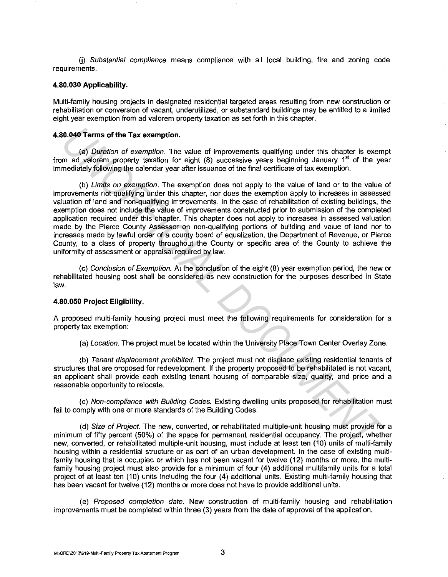U) Substantial compliance means compliance with all local building, fire and zoning code requirements.

# **4.80.030 Applicability.**

Multi-family housing projects in designated residential targeted areas resulting from new construction or rehabilitation or conversion of vacant, underutilized, or substandard buildings may be entitled to a limited eight year exemption from ad valorem property taxation as set forth in this chapter.

### **4.80.040 Terms of the Tax exemption.**

(a) Duration of exemption. The value of improvements qualifying under this chapter is exempt from ad valorem property taxation for eight  $(8)$  successive years beginning January 1<sup>st</sup> of the year immediately following the calendar year after issuance of the final certificate of tax exemption.

(b) Limits on exemption. The exemption does not apply to the value of land or to the value of improvements not qualifying under this chapter, nor does the exemption apply to increases in assessed valuation of land and non-qualifying improvements. In the case of rehabilitation of existing buildings, the exemption does not include the value of improvements constructed prior to submission of the completed application required under this chapter. This chapter does not apply to increases in assessed valuation made by the Pierce County Assessor on non-qualifying portions of building and value of land nor to increases made by lawful order of a county board of equalization, the Department of Revenue, or Pierce County, to a class of property throughout the County or specific area of the County to achieve the uniformity of assessment or appraisal required by law. **UNION Terms of the Tax exemption.**<br> **USING The Tax exemption.** The value of improvements qualifying under this chapter is exempted value of exemption. The value of improvements qualifying under this chapter is varied valu

{c) Conclusion of Exemption. At the conclusion of the eight (8) year exemption period, the new or rehabilitated housing cost shall be considered as new construction for the purposes described in State law.

#### **4.80.050 Project Eligibility.**

A proposed multi-family housing project must meet the following requirements for consideration for a property tax exemption:

(a) Location. The project must be located within the University Place Town Center Overlay Zone.

{b) Tenant displacement prohibited. The project must not displace existing residential tenants of structures that are proposed for redevelopment. If the property proposed to be rehabilitated is not vacant, an applicant shall provide each existing tenant housing of comparable size, quality, and price and a reasonable opportunity to relocate.

(c) Non-compliance with Building Codes. Existing dwelling units proposed for rehabilitation must fail to comply with one or more standards of the Building Codes.

(d) Size of Project. The new, converted, or rehabilitated multiple-unit housing must provide for a minimum of fifty percent (50%) of the space for permanent residential occupancy. The project, whether new, converted, or rehabilitated multiple-unit housing, must include at least ten (10) units of multi-family housing within a residential structure or as part of an urban development. In the case of existing multifamily housing that is occupied or which has not been vacant for twelve (12) months or more, the multifamily housing project must also provide for a minimum of four (4) additional multifamily units for a total project of at least ten (10) units including the four (4) additional units. Existing multi-family housing that has been vacant for twelve (12) months or more does not have to provide additional units.

(e) Proposed completion date. New construction of multi-family housing and rehabilitation improvements must be completed within three (3) years from the date of approval of the application.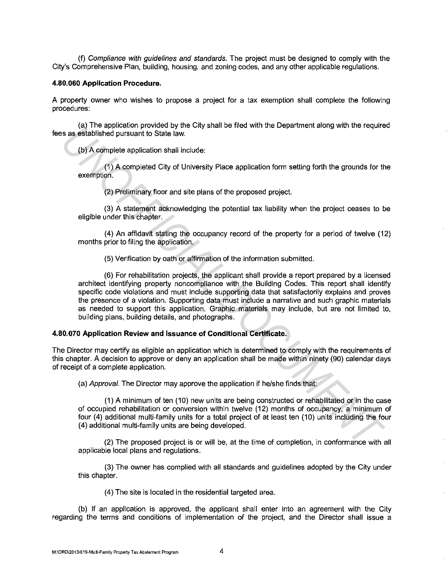(f) Compliance with guidelines and standards. The project must be designed to comply with the City's Comprehensive Plan, building, housing, and zoning codes, and any other applicable regulations.

### **4.80.060 Application Procedure.**

A property owner who wishes to propose a project for a tax exemption shall complete the following procedures:

(a) The application provided by the City shall be filed with the Department along with the required fees as established pursuant to State law.

(b} A complete application shall include:

(1) A completed City of University Place application form setting forth the grounds for the exemption.

(2) Preliminary floor and site plans of the proposed project.

(3) A statement acknowledging the potential tax liability when the project ceases to be eligible under this chapter.

(4) An affidavit stating the occupancy record of the property for a period of twelve (12) months prior to filing the application.

(5) Verification by oath or affirmation of the information submitted.

(6) For rehabilitation projects, the applicant shall provide a report prepared by a licensed architect identifying property noncompliance with the Building Codes. This report shall identify specific code violations and must include supporting data that satisfactorily explains and proves the presence of a violation. Supporting data must include a narrative and such graphic materials as needed to support this application. Graphic materials may include, but are not limited to, building plans, building details, and photographs. **UNDERFUNDATION UNIVER THE VERTIFIC IS the UNIT OF PERIMPTER CONDITION TO THE CONDITION TO THE CONDITION (1) A complete application shall include:**<br>
(b) A complete application shall include:<br>
(c) Preliminary floor and site

# **4.80.070 Application Review and Issuance of Conditional Certificate.**

The Director may certify as eligible an application which is determined to comply with the requirements of this chapter. A decision to approve or deny an application shall be made within ninety (90) calendar days of receipt of a complete application.

(a) Approval. The Director may approve the application if he/she finds that:

(1) A minimum of ten (10) new units are being constructed or rehabilitated or in the case of occupied rehabilitation or conversion within twelve (12) months of occupancy, a minimum of four (4) additional multi-family units for a total project of at least ten (10) units including the four (4) additional multi-family units are being developed.

(2) The proposed project is or will be, at the time of completion, in conformance with all applicable local plans and regulations.

(3) The owner has complied with all standards and guidelines adopted by the City under this chapter.

(4) The site is located in the residential targeted area.

(b) If an application is approved, the applicant shall enter into an agreement with the City regarding the terms and conditions of implementation of the project, and the Director shall issue a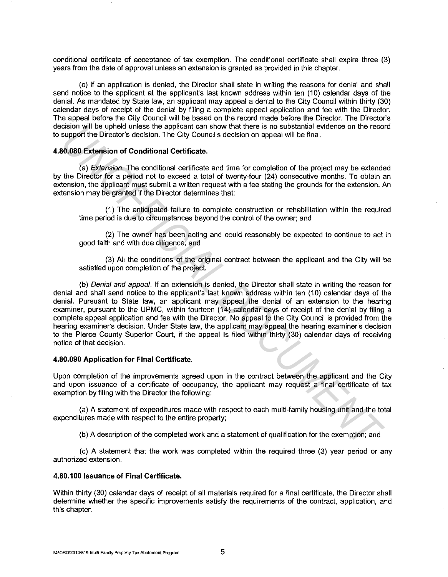conditional certificate of acceptance of tax exemption. The conditional certificate shall expire three (3) years from the date of approval unless an extension is granted as provided in this chapter.

(c) If an application is denied, the Director shall state in writing the reasons for denial and shall send notice to the applicant at the applicant's last known address within ten (10) calendar days of the denial. As mandated by State law, an applicant may appeal a denial to the City Council within thirty (30) calendar days of receipt of the denial by filing a complete appeal application and fee with the Director. The appeal before the City Council will be based on the record made before the Director. The Director's decision will be upheld unless the applicant can show that there is no substantial evidence on the record to support the Director's decision. The City Council's decision on appeal will be final.

## **4.80.080 Extension of Conditional Certificate.**

(a) Extension. The conditional certificate and time for completion of the project may be extended by the Director for a period not to exceed a total of twenty-four (24) consecutive months. To obtain an extension, the applicant must submit a written request with a fee stating the grounds for the extension. An extension may be granted if the Director determines that:

(1) The anticipated failure to complete construction or rehabilitation within the required time period is due to circumstances beyond the control of the owner; and

(2) The owner has been acting and could reasonably be expected to continue to act in good faith and with due diligence; and

(3) All the conditions of the original contract between the applicant and the City will be satisfied upon completion of the project.

(b) Denial and appeal. If an extension is denied, the Director shall state in writing the reason for denial and shall send notice to the applicant's last known address within ten (10) calendar days of the denial. Pursuant to State law, an applicant may appeal the denial of an extension to the hearing examiner, pursuant to the UPMC, within fourteen (14) calendar days of receipt of the denial by filing a complete appeal application and fee with the Director. No appeal to the City Council is provided from the hearing examiner's decision. Under State law, the applicant may appeal the hearing examiner's decision to the Pierce County Superior Court, if the appeal is filed within thirty (30) calendar days of receiving notice of that decision. ession will be uplead units are applicant can show that first ener is no substantial evered on the recocing support the Director's decision. The City Council's decision on appeal will be final.<br>
(a) *Dictionsion*, The cond

### **4.80.090 Application for Final Certificate.**

Upon completion of the improvements agreed upon in the contract between the applicant and the City and upon issuance of a certificate of occupancy, the applicant may request a final certificate of tax exemption by filing with the Director the following:

(a) A statement of expenditures made with respect to each multi-family housing unit and the total expenditures made with respect to the entire property;

(b) A description of the completed work and a statement of qualification for the exemption; and

(c) A statement that the work was completed within the required three (3) year period or any authorized extension.

## **4.80.100 Issuance of Final Certificate.**

Within thirty (30) calendar days of receipt of all materials required for a final certificate, the Director shall determine whether the specific improvements satisfy the requirements of the contract, application, and this chapter.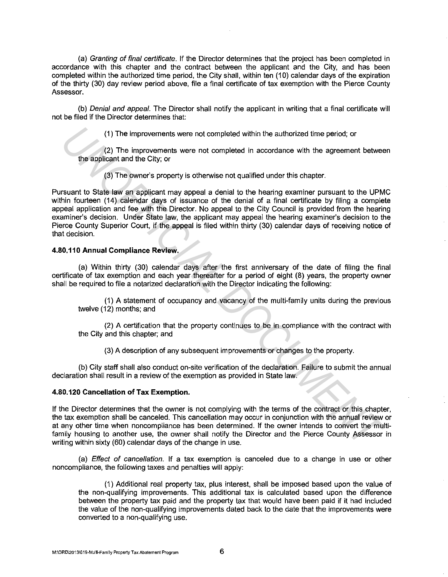(a) Granting of final certificate. If the Director determines that the project has been completed in accordance with this chapter and the contract between the applicant and the City, and has been completed within the authorized time period, the City shall, within ten (10) calendar days of the expiration of the thirty (30) day review period above, file a final certificate of tax exemption with the Pierce County Assessor.

(b) Denial and appeal. The Director shall notify the applicant in writing that a final certificate will not be filed if the Director determines that:

(1) The improvements were not completed within the authorized time period; or

(2) The improvements were not completed in accordance with the agreement between the applicant and the City; or

(3) The owner's property is otherwise not qualified under this chapter.

Pursuant to State law an applicant may appeal a denial to the hearing examiner pursuant to the UPMC within fourteen (14) calendar days of issuance of the denial of a final certificate by filing a complete appeal application and fee with the Director. No appeal to the City Council is provided from the hearing examiner's decision. Under State law, the applicant may appeal the hearing examiner's decision to the Pierce County Superior Court, if the appeal is filed within thirty (30) calendar days of receiving notice of that decision. (1) The improvements were not completed within the authorized time period; or<br> *U*(2) The improvements were not completed in accordance with the agreement betwee<br>
the applicant and the City; or<br>
(3) The compresipperty is o

## **4.80.110 Annual Compliance Review.**

(a) Within thirty (30) calendar days after the first anniversary of the date of filing the final certificate of tax exemption and each year thereafter for a period of eight (8) years, the property owner shall be required to file a notarized declaration with the Director indicating the following:

(1) A statement of occupancy and vacancy of the multi-family units during the previous twelve (12) months; and

(2) A certification that the property continues to be in compliance with the contract with the City and this chapter; and

(3) A description of any subsequent improvements or changes to the property.

(b} City staff shall also conduct on-site verification of the declaration. Failure to submit the annual declaration shall result in a review of the exemption as provided in State law.

## **4.80.120 Cancellation of Tax Exemption.**

If the Director determines that the owner is not complying with the terms of the contract or this chapter, the tax exemption shall be canceled. This cancellation may occur in conjunction with the annual review or at any other time when noncompliance has been determined. If the owner intends to convert the multifamily housing to another use, the owner shall notify the Director and the Pierce County Assessor in writing within sixty (60) calendar days of the change in use.

(a) Effect of cancellation. If a tax exemption is canceled due to a change in use or other noncompliance, the following taxes and penalties will apply:

(1) Additional real property tax, plus interest, shall be imposed based upon the value of the non-qualifying improvements. This additional tax is calculated based upon the difference between the property tax paid and the property tax that would have been paid if it had included the value of the non-qualifying improvements dated back to the date that the improvements were converted to a non-qualifying use.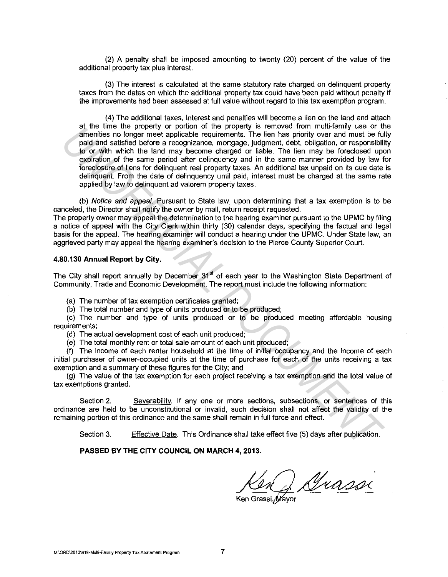(2) A penalty shall be imposed amounting to twenty (20) percent of the value of the additional property tax plus interest.

(3) The interest is calculated at the same statutory rate charged on delinquent property taxes from the dates on which the additional property tax could have been paid without penalty if the improvements had been assessed at full value without regard to this tax exemption program.

(4) The additional taxes, interest and penalties will become a lien on the land and attach at the time the property or portion of the property is removed from multi-family use or the amenities no longer meet applicable requirements. The lien has priority over and must be fully paid and satisfied before a recognizance, mortgage, judgment, debt, obligation, or responsibility to or with which the land may become charged or liable. The lien may be foreclosed upon expiration of the same period after delinquency and in the same manner provided by law for foreclosure of liens for delinquent real property taxes. An additional tax unpaid on its due date is delinquent. From the date of delinquency until paid, interest must be charged at the same rate applied by law to delinquent ad valorem property taxes. are the three forest property or powerbook of the property of the property of properties are the distributed interviews in the computer and the same state of particular and the same priority of the same period and the same

(b) Notice and appeal. Pursuant to State law, upon determining that a tax exemption is to be canceled, the Director shall notify the owner by mail, return receipt requested.

The property owner may appeal the determination to the hearing examiner pursuant to the UPMC by filing a notice of appeal with the City Clerk within thirty (30) calendar days, specifying the factual and legal basis for the appeal. The hearing examiner will conduct a hearing under the UPMC. Under State law, an aggrieved party may appeal the hearing examiner's decision to the Pierce County Superior Court.

## **4.80.130 Annual Report by City.**

The City shall report annually by December 31<sup>st</sup> of each year to the Washington State Department of Community, Trade and Economic Development. The report must include the following information:

(a) The number of tax exemption certificates granted;

(b) The total number and type of units produced or to be produced;

(c) The number and type of units produced or to be produced meeting affordable housing requirements;

(d) The actual development cost of each unit produced;

(e) The total monthly rent or total sale amount of each unit produced;

(f) The income of each renter household at the time of initial occupancy and the income of each initial purchaser of owner-occupied units at the time of purchase for each of the units receiving a tax exemption and a summary of these figures for the City; and

(g) The value of the tax exemption for each project receiving a tax exemption and the total value of tax exemptions granted.

Section 2. Severability. If any one or more sections, subsections, or sentences of this ordinance are held to be unconstitutional or invalid, such decision shall not affect the validity of the remaining portion of this ordinance and the same shall remain in full force and effect.

Section 3. Effective Date. This Ordinance shall take effect five (5) days after publication.

#### **PASSED BY THE CITY COUNCIL ON MARCH 4, 2013.**

Grassi

Ken Grassi, Mayor